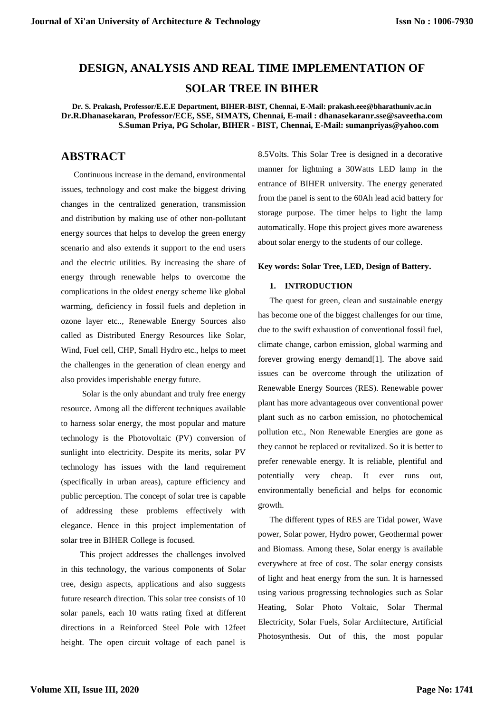# **DESIGN, ANALYSIS AND REAL TIME IMPLEMENTATION OF**

# **SOLAR TREE IN BIHER**

**Dr. S. Prakash, Professor/E.E.E Department, BIHER-BIST, Chennai, E-Mail: prakash.eee@bharathuniv.ac.in Dr.R.Dhanasekaran, Professor/ECE, SSE, SIMATS, Chennai, E-mail : dhanasekaranr.sse@saveetha.com S.Suman Priya, PG Scholar, BIHER - BIST, Chennai, E-Mail: sumanpriyas@yahoo.com**

# **ABSTRACT**

Continuous increase in the demand, environmental issues, technology and cost make the biggest driving changes in the centralized generation, transmission and distribution by making use of other non-pollutant energy sources that helps to develop the green energy scenario and also extends it support to the end users and the electric utilities. By increasing the share of energy through renewable helps to overcome the complications in the oldest energy scheme like global warming, deficiency in fossil fuels and depletion in ozone layer etc.., Renewable Energy Sources also called as Distributed Energy Resources like Solar, Wind, Fuel cell, CHP, Small Hydro etc., helps to meet the challenges in the generation of clean energy and also provides imperishable energy future.

 Solar is the only abundant and truly free energy resource. Among all the different techniques available to harness solar energy, the most popular and mature technology is the Photovoltaic (PV) conversion of sunlight into electricity. Despite its merits, solar PV technology has issues with the land requirement (specifically in urban areas), capture efficiency and public perception. The concept of solar tree is capable of addressing these problems effectively with elegance. Hence in this project implementation of solar tree in BIHER College is focused.

 This project addresses the challenges involved in this technology, the various components of Solar tree, design aspects, applications and also suggests future research direction. This solar tree consists of 10 solar panels, each 10 watts rating fixed at different directions in a Reinforced Steel Pole with 12feet height. The open circuit voltage of each panel is 8.5Volts. This Solar Tree is designed in a decorative manner for lightning a 30Watts LED lamp in the entrance of BIHER university. The energy generated from the panel is sent to the 60Ah lead acid battery for storage purpose. The timer helps to light the lamp automatically. Hope this project gives more awareness about solar energy to the students of our college.

#### **Key words: Solar Tree, LED, Design of Battery.**

## **1. INTRODUCTION**

The quest for green, clean and sustainable energy has become one of the biggest challenges for our time, due to the swift exhaustion of conventional fossil fuel, climate change, carbon emission, global warming and forever growing energy demand[1]. The above said issues can be overcome through the utilization of Renewable Energy Sources (RES). Renewable power plant has more advantageous over conventional power plant such as no carbon emission, no photochemical pollution etc., Non Renewable Energies are gone as they cannot be replaced or revitalized. So it is better to prefer renewable energy. It is reliable, plentiful and potentially very cheap. It ever runs out, environmentally beneficial and helps for economic growth.

The different types of RES are Tidal power, Wave power, Solar power, Hydro power, Geothermal power and Biomass. Among these, Solar energy is available everywhere at free of cost. The solar energy consists of light and heat energy from the sun. It is harnessed using various progressing technologies such as Solar Heating, Solar Photo Voltaic, Solar Thermal Electricity, Solar Fuels, Solar Architecture, Artificial Photosynthesis. Out of this, the most popular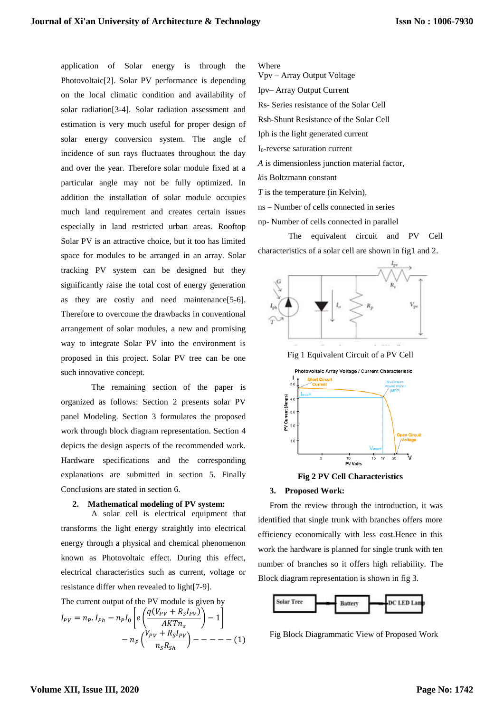application of Solar energy is through the Photovoltaic[2]. Solar PV performance is depending on the local climatic condition and availability of solar radiation[3-4]. Solar radiation assessment and estimation is very much useful for proper design of solar energy conversion system. The angle of incidence of sun rays fluctuates throughout the day and over the year. Therefore solar module fixed at a particular angle may not be fully optimized. In addition the installation of solar module occupies much land requirement and creates certain issues especially in land restricted urban areas. Rooftop Solar PV is an attractive choice, but it too has limited space for modules to be arranged in an array. Solar tracking PV system can be designed but they significantly raise the total cost of energy generation as they are costly and need maintenance[5-6]. Therefore to overcome the drawbacks in conventional arrangement of solar modules, a new and promising way to integrate Solar PV into the environment is proposed in this project. Solar PV tree can be one such innovative concept.

The remaining section of the paper is organized as follows: Section 2 presents solar PV panel Modeling. Section 3 formulates the proposed work through block diagram representation. Section 4 depicts the design aspects of the recommended work. Hardware specifications and the corresponding explanations are submitted in section 5. Finally Conclusions are stated in section 6.

#### **2. Mathematical modeling of PV system:**

A solar cell is electrical equipment that transforms the light energy straightly into electrical energy through a physical and chemical phenomenon known as Photovoltaic effect. During this effect, electrical characteristics such as current, voltage or resistance differ when revealed to light[7-9].

The current output of the PV module is given by

$$
I_{PV} = n_P. I_{Ph} - n_P I_0 \left[ e \left( \frac{q(V_{PV} + R_S I_{PV})}{AKT n_S} \right) - 1 \right] - n_P \left( \frac{V_{PV} + R_S I_{PV}}{n_S R_{Sh}} \right) - - - - - (1)
$$

Where

- Vpv Array Output Voltage
- Ipv– Array Output Current
- Rs- Series resistance of the Solar Cell
- Rsh-Shunt Resistance of the Solar Cell
- Iph is the light generated current
- I0-reverse saturation current
- *A* is dimensionless junction material factor,
- *k*is Boltzmann constant
- *T* is the temperature (in Kelvin),
- ns Number of cells connected in series
- np- Number of cells connected in parallel

The equivalent circuit and PV Cell characteristics of a solar cell are shown in fig1 and 2.



**Fig 2 PV Cell Characteristics**

#### **3. Proposed Work:**

From the review through the introduction, it was identified that single trunk with branches offers more efficiency economically with less cost.Hence in this work the hardware is planned for single trunk with ten number of branches so it offers high reliability. The Block diagram representation is shown in fig 3.



Fig Block Diagrammatic View of Proposed Work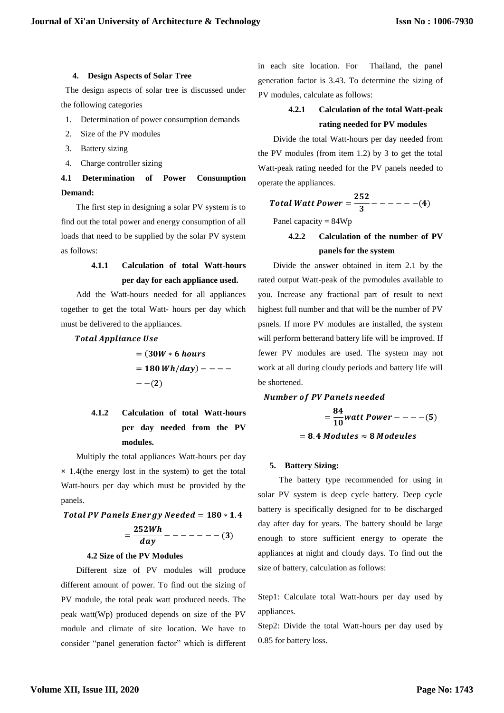#### **4. Design Aspects of Solar Tree**

The design aspects of solar tree is discussed under the following categories

- 1. Determination of power consumption demands
- 2. Size of the PV modules
- 3. Battery sizing
- 4. Charge controller sizing

# **4.1 Determination of Power Consumption Demand:**

The first step in designing a solar PV system is to find out the total power and energy consumption of all loads that need to be supplied by the solar PV system as follows:

# **4.1.1 Calculation of total Watt-hours per day for each appliance used.**

Add the Watt-hours needed for all appliances together to get the total Watt- hours per day which must be delivered to the appliances.

**Total Appliance Use** 

$$
= (30W * 6 hours \n= 180 Wh/day) - - - - - \n- -(2)
$$

# **4.1.2 Calculation of total Watt-hours per day needed from the PV modules.**

Multiply the total appliances Watt-hours per day **×** 1.4(the energy lost in the system) to get the total Watt-hours per day which must be provided by the panels.

# Total PV Panels Energy Needed =  $180 * 1.4$  $=\frac{252Wh}{day}$  - - - - - - - (3)

#### **4.2 Size of the PV Modules**

Different size of PV modules will produce different amount of power. To find out the sizing of PV module, the total peak watt produced needs. The peak watt(Wp) produced depends on size of the PV module and climate of site location. We have to consider "panel generation factor" which is different in each site location. For Thailand, the panel generation factor is 3.43. To determine the sizing of PV modules, calculate as follows:

# **4.2.1 Calculation of the total Watt-peak rating needed for PV modules**

Divide the total Watt-hours per day needed from the PV modules (from item 1.2) by 3 to get the total Watt-peak rating needed for the PV panels needed to operate the appliances.

Total Watt Power 
$$
=\frac{252}{3} - - - - - - (4)
$$

Panel capacity = 84Wp

**4.2.2 Calculation of the number of PV panels for the system**

Divide the answer obtained in item 2.1 by the rated output Watt-peak of the pvmodules available to you. Increase any fractional part of result to next highest full number and that will be the number of PV psnels. If more PV modules are installed, the system will perform betterand battery life will be improved. If fewer PV modules are used. The system may not work at all during cloudy periods and battery life will be shortened.

#### **Number of PV Panels needed**

 $=\frac{84}{10}$  watt Power - - - - (5)  $= 8.4$  Modules  $\approx 8$  Modeules

#### **5. Battery Sizing:**

The battery type recommended for using in solar PV system is deep cycle battery. Deep cycle battery is specifically designed for to be discharged day after day for years. The battery should be large enough to store sufficient energy to operate the appliances at night and cloudy days. To find out the size of battery, calculation as follows:

Step1: Calculate total Watt-hours per day used by appliances.

Step2: Divide the total Watt-hours per day used by 0.85 for battery loss.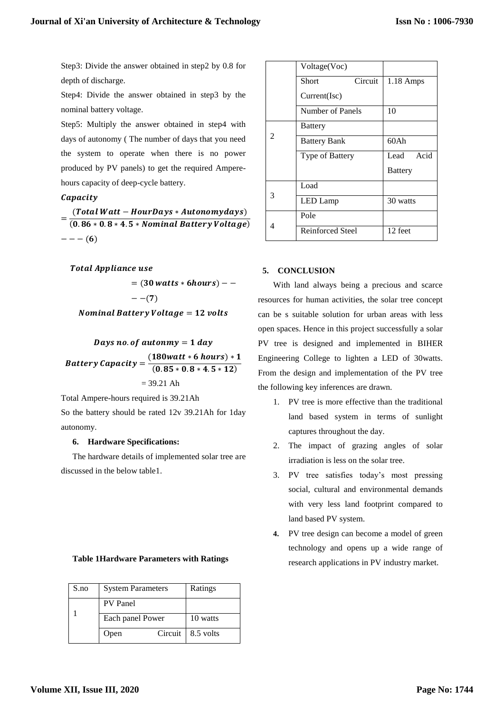Step3: Divide the answer obtained in step2 by 0.8 for depth of discharge.

Step4: Divide the answer obtained in step3 by the nominal battery voltage.

Step5: Multiply the answer obtained in step4 with days of autonomy ( The number of days that you need the system to operate when there is no power produced by PV panels) to get the required Amperehours capacity of deep-cycle battery.

## Capacity

 $=\frac{(Total Watt - Hour Days * Automationwy days)}{(0.06 \times 0.0 \times 4.5 \times Normal Network)}$  $(0.86 * 0.8 * 4.5 * Nominal Battery Voltage)$  $- - - (6)$ 

### **Total Appliance use**

 $= (30 \text{ watts} * 6 \text{hours}) - --(7)$ 

## **Nominal Battery Voltage = 12 volts**

# Days no. of autonmy  $= 1$  day **Battery Capacity** =  $\frac{(180watt * 6 \text{ hours}) * 1}{(0.05 - 0.0 + 5.43)}$  $(0.85 * 0.8 * 4.5 * 12)$  $= 39.21$  Ah

Total Ampere-hours required is 39.21Ah

So the battery should be rated 12v 39.21Ah for 1day autonomy.

### **6. Hardware Specifications:**

The hardware details of implemented solar tree are discussed in the below table1.

### **Table 1Hardware Parameters with Ratings**

| S.no | <b>System Parameters</b> |           | Ratings   |
|------|--------------------------|-----------|-----------|
|      | PV Panel                 |           |           |
|      | Each panel Power         |           | 10 watts  |
|      | Open                     | Circuit 1 | 8.5 volts |

|                             | Voltage(Voc)        |         |                |
|-----------------------------|---------------------|---------|----------------|
|                             | Short               | Circuit | $1.18$ Amps    |
|                             | Current(Isc)        |         |                |
|                             | Number of Panels    |         | 10             |
| $\mathcal{D}_{\mathcal{L}}$ | <b>Battery</b>      |         |                |
|                             | <b>Battery Bank</b> |         | 60Ah           |
|                             | Type of Battery     |         | Acid<br>Lead   |
|                             |                     |         | <b>Battery</b> |
| 3                           | Load                |         |                |
|                             | LED Lamp            |         | 30 watts       |
| 4                           | Pole                |         |                |
|                             | Reinforced Steel    |         | 12 feet        |

### **5. CONCLUSION**

With land always being a precious and scarce resources for human activities, the solar tree concept can be s suitable solution for urban areas with less open spaces. Hence in this project successfully a solar PV tree is designed and implemented in BIHER Engineering College to lighten a LED of 30watts. From the design and implementation of the PV tree the following key inferences are drawn.

- 1. PV tree is more effective than the traditional land based system in terms of sunlight captures throughout the day.
- 2. The impact of grazing angles of solar irradiation is less on the solar tree.
- 3. PV tree satisfies today's most pressing social, cultural and environmental demands with very less land footprint compared to land based PV system.
- **4.** PV tree design can become a model of green technology and opens up a wide range of research applications in PV industry market.